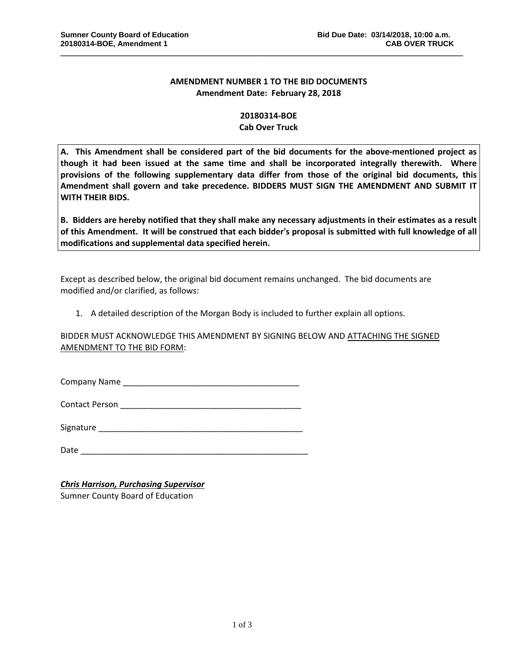#### **AMENDMENT NUMBER 1 TO THE BID DOCUMENTS Amendment Date: February 28, 2018**

\_\_\_\_\_\_\_\_\_\_\_\_\_\_\_\_\_\_\_\_\_\_\_\_\_\_\_\_\_\_\_\_\_\_\_\_\_\_\_\_\_\_\_\_\_\_\_\_\_\_\_\_\_\_\_\_\_\_\_\_\_\_\_\_\_\_\_\_\_\_\_\_\_\_\_\_\_\_\_\_\_\_\_\_\_\_\_\_\_\_\_\_\_\_\_

#### **20180314-BOE Cab Over Truck**

**A. This Amendment shall be considered part of the bid documents for the above-mentioned project as though it had been issued at the same time and shall be incorporated integrally therewith. Where provisions of the following supplementary data differ from those of the original bid documents, this Amendment shall govern and take precedence. BIDDERS MUST SIGN THE AMENDMENT AND SUBMIT IT WITH THEIR BIDS.**

**B. Bidders are hereby notified that they shall make any necessary adjustments in their estimates as a result of this Amendment. It will be construed that each bidder's proposal is submitted with full knowledge of all modifications and supplemental data specified herein.**

Except as described below, the original bid document remains unchanged. The bid documents are modified and/or clarified, as follows:

1. A detailed description of the Morgan Body is included to further explain all options.

### BIDDER MUST ACKNOWLEDGE THIS AMENDMENT BY SIGNING BELOW AND ATTACHING THE SIGNED AMENDMENT TO THE BID FORM:

Company Name \_\_\_\_\_\_\_\_\_\_\_\_\_\_\_\_\_\_\_\_\_\_\_\_\_\_\_\_\_\_\_\_\_\_\_\_\_\_

Contact Person \_\_\_\_\_\_\_\_\_\_\_\_\_\_\_\_\_\_\_\_\_\_\_\_\_\_\_\_\_\_\_\_\_\_\_\_\_\_\_

Signature \_\_\_\_\_\_\_\_\_\_\_\_\_\_\_\_\_\_\_\_\_\_\_\_\_\_\_\_\_\_\_\_\_\_\_\_\_\_\_\_\_\_\_\_

Date \_\_\_\_\_\_\_\_\_\_\_\_\_\_\_\_\_\_\_\_\_\_\_\_\_\_\_\_\_\_\_\_\_\_\_\_\_\_\_\_\_\_\_\_\_\_\_\_\_

### *Chris Harrison, Purchasing Supervisor*

Sumner County Board of Education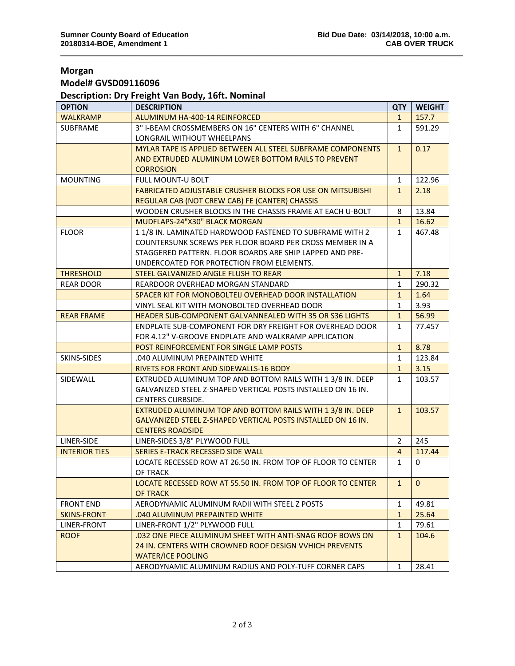# **Morgan**

## **Model# GVSD09116096**

## **Description: Dry Freight Van Body, 16ft. Nominal**

| <b>OPTION</b>        | <b>DESCRIPTION</b>                                             | <b>QTY</b>      | <b>WEIGHT</b> |
|----------------------|----------------------------------------------------------------|-----------------|---------------|
| <b>WALKRAMP</b>      | ALUMINUM HA-400-14 REINFORCED                                  | $\mathbf{1}$    | 157.7         |
| SUBFRAME             | 3" I-BEAM CROSSMEMBERS ON 16" CENTERS WITH 6" CHANNEL          | $\mathbf{1}$    | 591.29        |
|                      | LONGRAIL WITHOUT WHEELPANS                                     |                 |               |
|                      | MYLAR TAPE IS APPLIED BETWEEN ALL STEEL SUBFRAME COMPONENTS    | $\mathbf{1}$    | 0.17          |
|                      | AND EXTRUDED ALUMINUM LOWER BOTTOM RAILS TO PREVENT            |                 |               |
|                      | <b>CORROSION</b>                                               |                 |               |
| <b>MOUNTING</b>      | FULL MOUNT-U BOLT                                              | $\mathbf{1}$    | 122.96        |
|                      | FABRICATED ADJUSTABLE CRUSHER BLOCKS FOR USE ON MITSUBISHI     | $\mathbf{1}$    | 2.18          |
|                      | REGULAR CAB (NOT CREW CAB) FE (CANTER) CHASSIS                 |                 |               |
|                      | WOODEN CRUSHER BLOCKS IN THE CHASSIS FRAME AT EACH U-BOLT      | 8               | 13.84         |
|                      | MUDFLAPS-24"X30" BLACK MORGAN                                  | $\mathbf{1}$    | 16.62         |
| <b>FLOOR</b>         | 11/8 IN. LAMINATED HARDWOOD FASTENED TO SUBFRAME WITH 2        | $\mathbf{1}$    | 467.48        |
|                      | COUNTERSUNK SCREWS PER FLOOR BOARD PER CROSS MEMBER IN A       |                 |               |
|                      | STAGGERED PATTERN. FLOOR BOARDS ARE SHIP LAPPED AND PRE-       |                 |               |
|                      | UNDERCOATED FOR PROTECTION FROM ELEMENTS.                      |                 |               |
| <b>THRESHOLD</b>     | STEEL GALVANIZED ANGLE FLUSH TO REAR                           | $\mathbf{1}$    | 7.18          |
| <b>REAR DOOR</b>     | REARDOOR OVERHEAD MORGAN STANDARD                              | 1               | 290.32        |
|                      | SPACER KIT FOR MONOBOLTEIJ OVERHEAD DOOR INSTALLATION          | $\mathbf{1}$    | 1.64          |
|                      | VINYL SEAL KIT WITH MONOBOLTED OVERHEAD DOOR                   | $\mathbf{1}$    | 3.93          |
| <b>REAR FRAME</b>    | <b>HEADER SUB-COMPONENT GALVANNEALED WITH 35 OR S36 LIGHTS</b> | $\mathbf{1}$    | 56.99         |
|                      | ENDPLATE SUB-COMPONENT FOR DRY FREIGHT FOR OVERHEAD DOOR       | $\mathbf{1}$    | 77.457        |
|                      | FOR 4.12" V-GROOVE ENDPLATE AND WALKRAMP APPLICATION           |                 |               |
|                      | POST REINFORCEMENT FOR SINGLE LAMP POSTS                       | $\mathbf{1}$    | 8.78          |
| SKINS-SIDES          | .040 ALUMINUM PREPAINTED WHITE                                 | $\mathbf{1}$    | 123.84        |
|                      | <b>RIVETS FOR FRONT AND SIDEWALLS-16 BODY</b>                  | $\mathbf{1}$    | 3.15          |
| SIDEWALL             | EXTRUDED ALUMINUM TOP AND BOTTOM RAILS WITH 1 3/8 IN. DEEP     | $\mathbf{1}$    | 103.57        |
|                      | GALVANIZED STEEL Z-SHAPED VERTICAL POSTS INSTALLED ON 16 IN.   |                 |               |
|                      | <b>CENTERS CURBSIDE.</b>                                       |                 |               |
|                      | EXTRUDED ALUMINUM TOP AND BOTTOM RAILS WITH 1 3/8 IN. DEEP     | $1\overline{ }$ | 103.57        |
|                      | GALVANIZED STEEL Z-SHAPED VERTICAL POSTS INSTALLED ON 16 IN.   |                 |               |
|                      | <b>CENTERS ROADSIDE</b>                                        |                 |               |
| LINER-SIDE           | LINER-SIDES 3/8" PLYWOOD FULL                                  | 2               | 245           |
| <b>INTERIOR TIES</b> | SERIES E-TRACK RECESSED SIDE WALL                              | $\overline{4}$  | 117.44        |
|                      | LOCATE RECESSED ROW AT 26.50 IN. FROM TOP OF FLOOR TO CENTER   | $\mathbf{1}$    | $\mathbf{0}$  |
|                      | <b>OF TRACK</b>                                                |                 |               |
|                      | LOCATE RECESSED ROW AT 55.50 IN. FROM TOP OF FLOOR TO CENTER   | $\mathbf{1}$    | $\mathbf{0}$  |
|                      | <b>OF TRACK</b>                                                |                 |               |
| <b>FRONT END</b>     | AERODYNAMIC ALUMINUM RADII WITH STEEL Z POSTS                  | 1               | 49.81         |
| <b>SKINS-FRONT</b>   | <b>.040 ALUMINUM PREPAINTED WHITE</b>                          | $\mathbf{1}$    | 25.64         |
| LINER-FRONT          | LINER-FRONT 1/2" PLYWOOD FULL                                  | 1               | 79.61         |
| <b>ROOF</b>          | .032 ONE PIECE ALUMINUM SHEET WITH ANTI-SNAG ROOF BOWS ON      | $\mathbf{1}$    | 104.6         |
|                      | 24 IN. CENTERS WITH CROWNED ROOF DESIGN VVHICH PREVENTS        |                 |               |
|                      | <b>WATER/ICE POOLING</b>                                       |                 |               |
|                      | AERODYNAMIC ALUMINUM RADIUS AND POLY-TUFF CORNER CAPS          | $\mathbf{1}$    | 28.41         |

\_\_\_\_\_\_\_\_\_\_\_\_\_\_\_\_\_\_\_\_\_\_\_\_\_\_\_\_\_\_\_\_\_\_\_\_\_\_\_\_\_\_\_\_\_\_\_\_\_\_\_\_\_\_\_\_\_\_\_\_\_\_\_\_\_\_\_\_\_\_\_\_\_\_\_\_\_\_\_\_\_\_\_\_\_\_\_\_\_\_\_\_\_\_\_